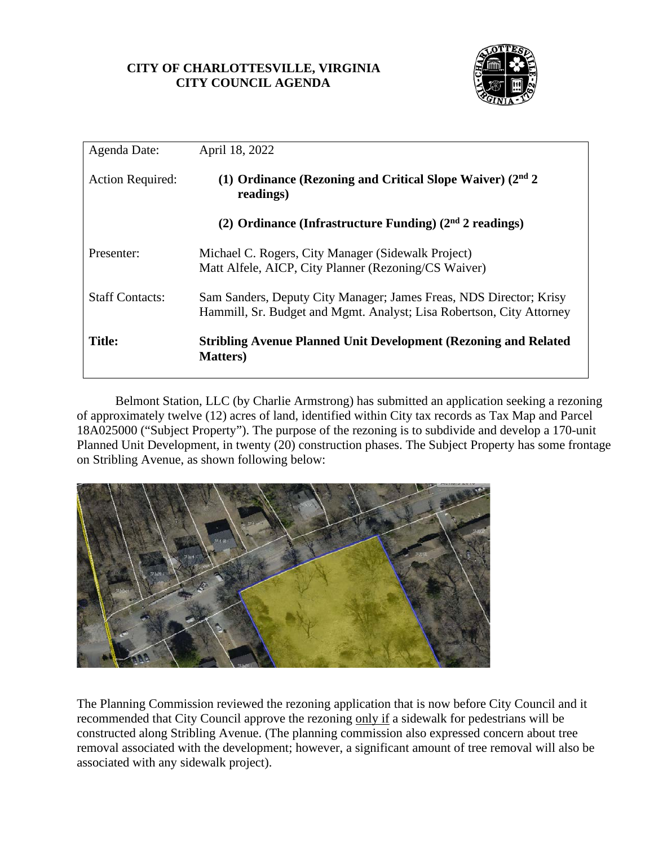## **CITY OF CHARLOTTESVILLE, VIRGINIA CITY COUNCIL AGENDA**



| Agenda Date:            | April 18, 2022                                                                                                                             |
|-------------------------|--------------------------------------------------------------------------------------------------------------------------------------------|
| <b>Action Required:</b> | (1) Ordinance (Rezoning and Critical Slope Waiver) $(2nd 2)$<br>readings)                                                                  |
|                         | (2) Ordinance (Infrastructure Funding) $(2nd 2$ readings)                                                                                  |
| Presenter:              | Michael C. Rogers, City Manager (Sidewalk Project)<br>Matt Alfele, AICP, City Planner (Rezoning/CS Waiver)                                 |
| <b>Staff Contacts:</b>  | Sam Sanders, Deputy City Manager; James Freas, NDS Director; Krisy<br>Hammill, Sr. Budget and Mgmt. Analyst; Lisa Robertson, City Attorney |
| <b>Title:</b>           | <b>Stribling Avenue Planned Unit Development (Rezoning and Related)</b><br><b>Matters</b> )                                                |

Belmont Station, LLC (by Charlie Armstrong) has submitted an application seeking a rezoning of approximately twelve (12) acres of land, identified within City tax records as Tax Map and Parcel 18A025000 ("Subject Property"). The purpose of the rezoning is to subdivide and develop a 170-unit Planned Unit Development, in twenty (20) construction phases. The Subject Property has some frontage on Stribling Avenue, as shown following below:



The Planning Commission reviewed the rezoning application that is now before City Council and it recommended that City Council approve the rezoning only if a sidewalk for pedestrians will be constructed along Stribling Avenue. (The planning commission also expressed concern about tree removal associated with the development; however, a significant amount of tree removal will also be associated with any sidewalk project).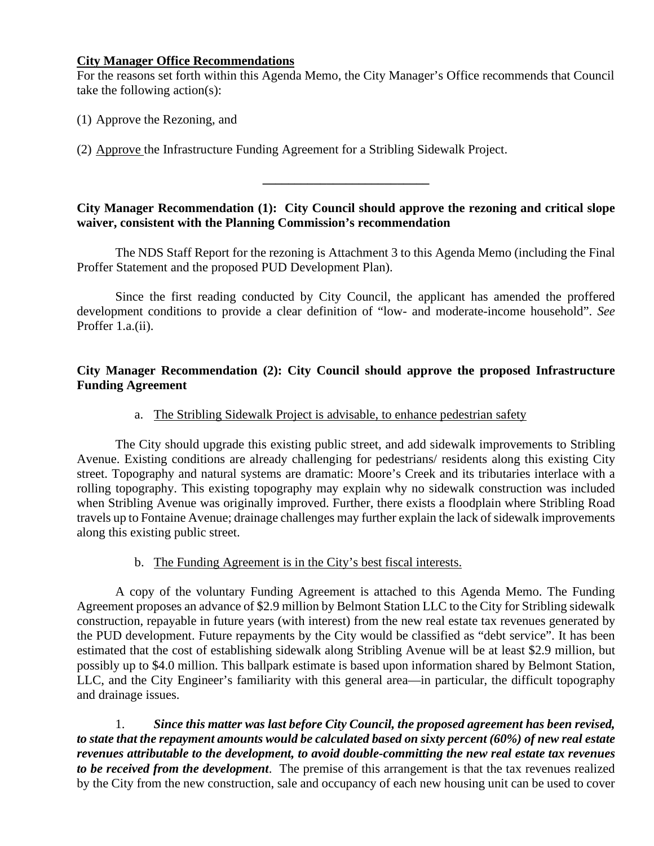#### **City Manager Office Recommendations**

For the reasons set forth within this Agenda Memo, the City Manager's Office recommends that Council take the following action(s):

(1) Approve the Rezoning, and

(2) Approve the Infrastructure Funding Agreement for a Stribling Sidewalk Project.

**City Manager Recommendation (1): City Council should approve the rezoning and critical slope waiver, consistent with the Planning Commission's recommendation**

**\_\_\_\_\_\_\_\_\_\_\_\_\_\_\_\_\_\_\_\_\_\_\_\_\_\_**

The NDS Staff Report for the rezoning is Attachment 3 to this Agenda Memo (including the Final Proffer Statement and the proposed PUD Development Plan).

Since the first reading conducted by City Council, the applicant has amended the proffered development conditions to provide a clear definition of "low- and moderate-income household". *See*  Proffer 1.a.(ii).

### **City Manager Recommendation (2): City Council should approve the proposed Infrastructure Funding Agreement**

## a. The Stribling Sidewalk Project is advisable, to enhance pedestrian safety

The City should upgrade this existing public street, and add sidewalk improvements to Stribling Avenue. Existing conditions are already challenging for pedestrians/ residents along this existing City street. Topography and natural systems are dramatic: Moore's Creek and its tributaries interlace with a rolling topography. This existing topography may explain why no sidewalk construction was included when Stribling Avenue was originally improved. Further, there exists a floodplain where Stribling Road travels up to Fontaine Avenue; drainage challenges may further explain the lack of sidewalk improvements along this existing public street.

## b. The Funding Agreement is in the City's best fiscal interests.

A copy of the voluntary Funding Agreement is attached to this Agenda Memo. The Funding Agreement proposes an advance of \$2.9 million by Belmont Station LLC to the City for Stribling sidewalk construction, repayable in future years (with interest) from the new real estate tax revenues generated by the PUD development. Future repayments by the City would be classified as "debt service". It has been estimated that the cost of establishing sidewalk along Stribling Avenue will be at least \$2.9 million, but possibly up to \$4.0 million. This ballpark estimate is based upon information shared by Belmont Station, LLC, and the City Engineer's familiarity with this general area—in particular, the difficult topography and drainage issues.

1. *Since this matter was last before City Council, the proposed agreement has been revised, to state that the repayment amounts would be calculated based on sixty percent (60%) of new real estate revenues attributable to the development, to avoid double-committing the new real estate tax revenues to be received from the development*. The premise of this arrangement is that the tax revenues realized by the City from the new construction, sale and occupancy of each new housing unit can be used to cover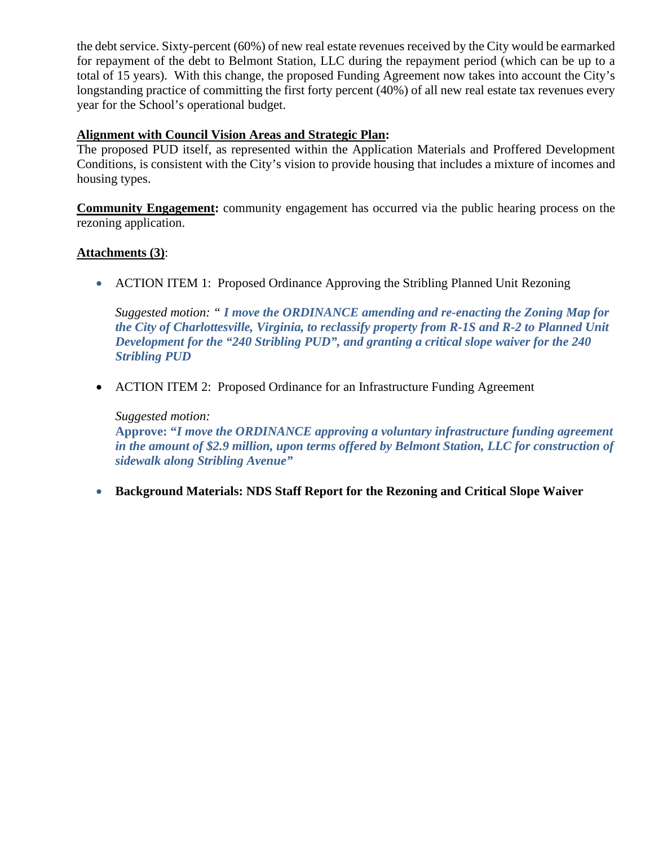the debt service. Sixty-percent (60%) of new real estate revenues received by the City would be earmarked for repayment of the debt to Belmont Station, LLC during the repayment period (which can be up to a total of 15 years). With this change, the proposed Funding Agreement now takes into account the City's longstanding practice of committing the first forty percent (40%) of all new real estate tax revenues every year for the School's operational budget.

## **Alignment with Council Vision Areas and Strategic Plan:**

The proposed PUD itself, as represented within the Application Materials and Proffered Development Conditions, is consistent with the City's vision to provide housing that includes a mixture of incomes and housing types.

**Community Engagement:** community engagement has occurred via the public hearing process on the rezoning application.

### **Attachments (3)**:

• ACTION ITEM 1: Proposed Ordinance Approving the Stribling Planned Unit Rezoning

*Suggested motion: " I move the ORDINANCE amending and re-enacting the Zoning Map for the City of Charlottesville, Virginia, to reclassify property from R-1S and R-2 to Planned Unit Development for the "240 Stribling PUD", and granting a critical slope waiver for the 240 Stribling PUD*

• ACTION ITEM 2: Proposed Ordinance for an Infrastructure Funding Agreement

### *Suggested motion:*

**Approve: "***I move the ORDINANCE approving a voluntary infrastructure funding agreement in the amount of \$2.9 million, upon terms offered by Belmont Station, LLC for construction of sidewalk along Stribling Avenue"*

• **Background Materials: NDS Staff Report for the Rezoning and Critical Slope Waiver**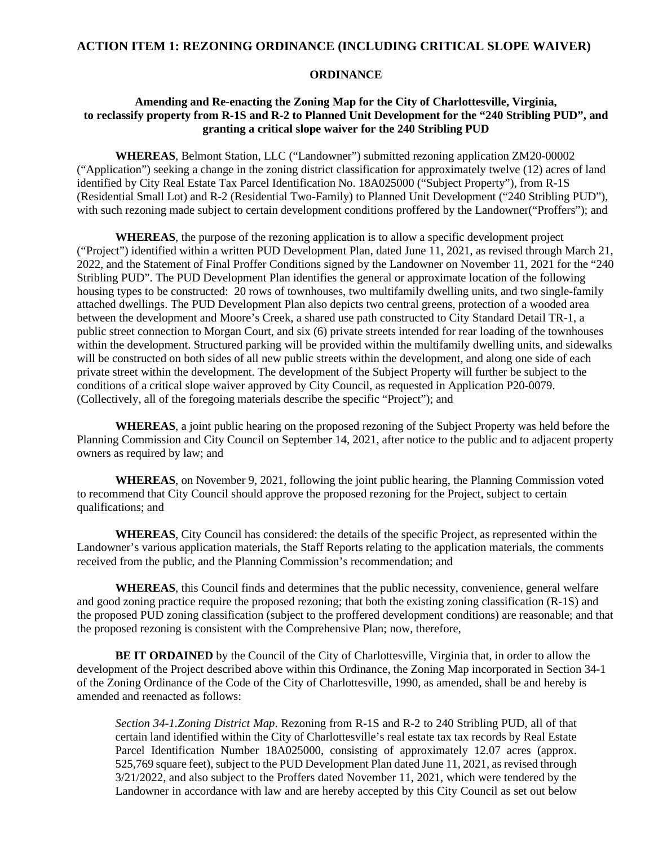#### **ACTION ITEM 1: REZONING ORDINANCE (INCLUDING CRITICAL SLOPE WAIVER)**

#### **ORDINANCE**

#### **Amending and Re-enacting the Zoning Map for the City of Charlottesville, Virginia, to reclassify property from R-1S and R-2 to Planned Unit Development for the "240 Stribling PUD", and granting a critical slope waiver for the 240 Stribling PUD**

**WHEREAS**, Belmont Station, LLC ("Landowner") submitted rezoning application ZM20-00002 ("Application") seeking a change in the zoning district classification for approximately twelve (12) acres of land identified by City Real Estate Tax Parcel Identification No. 18A025000 ("Subject Property"), from R-1S (Residential Small Lot) and R-2 (Residential Two-Family) to Planned Unit Development ("240 Stribling PUD"), with such rezoning made subject to certain development conditions proffered by the Landowner("Proffers"); and

**WHEREAS**, the purpose of the rezoning application is to allow a specific development project ("Project") identified within a written PUD Development Plan, dated June 11, 2021, as revised through March 21, 2022, and the Statement of Final Proffer Conditions signed by the Landowner on November 11, 2021 for the "240 Stribling PUD". The PUD Development Plan identifies the general or approximate location of the following housing types to be constructed: 20 rows of townhouses, two multifamily dwelling units, and two single-family attached dwellings. The PUD Development Plan also depicts two central greens, protection of a wooded area between the development and Moore's Creek, a shared use path constructed to City Standard Detail TR-1, a public street connection to Morgan Court, and six (6) private streets intended for rear loading of the townhouses within the development. Structured parking will be provided within the multifamily dwelling units, and sidewalks will be constructed on both sides of all new public streets within the development, and along one side of each private street within the development. The development of the Subject Property will further be subject to the conditions of a critical slope waiver approved by City Council, as requested in Application P20-0079. (Collectively, all of the foregoing materials describe the specific "Project"); and

**WHEREAS**, a joint public hearing on the proposed rezoning of the Subject Property was held before the Planning Commission and City Council on September 14, 2021, after notice to the public and to adjacent property owners as required by law; and

**WHEREAS**, on November 9, 2021, following the joint public hearing, the Planning Commission voted to recommend that City Council should approve the proposed rezoning for the Project, subject to certain qualifications; and

**WHEREAS**, City Council has considered: the details of the specific Project, as represented within the Landowner's various application materials, the Staff Reports relating to the application materials, the comments received from the public, and the Planning Commission's recommendation; and

**WHEREAS**, this Council finds and determines that the public necessity, convenience, general welfare and good zoning practice require the proposed rezoning; that both the existing zoning classification (R-1S) and the proposed PUD zoning classification (subject to the proffered development conditions) are reasonable; and that the proposed rezoning is consistent with the Comprehensive Plan; now, therefore,

**BE IT ORDAINED** by the Council of the City of Charlottesville, Virginia that, in order to allow the development of the Project described above within this Ordinance, the Zoning Map incorporated in Section 34-1 of the Zoning Ordinance of the Code of the City of Charlottesville, 1990, as amended, shall be and hereby is amended and reenacted as follows:

*Section 34-1.Zoning District Map*. Rezoning from R-1S and R-2 to 240 Stribling PUD, all of that certain land identified within the City of Charlottesville's real estate tax tax records by Real Estate Parcel Identification Number 18A025000, consisting of approximately 12.07 acres (approx. 525,769 square feet), subject to the PUD Development Plan dated June 11, 2021, as revised through 3/21/2022, and also subject to the Proffers dated November 11, 2021, which were tendered by the Landowner in accordance with law and are hereby accepted by this City Council as set out below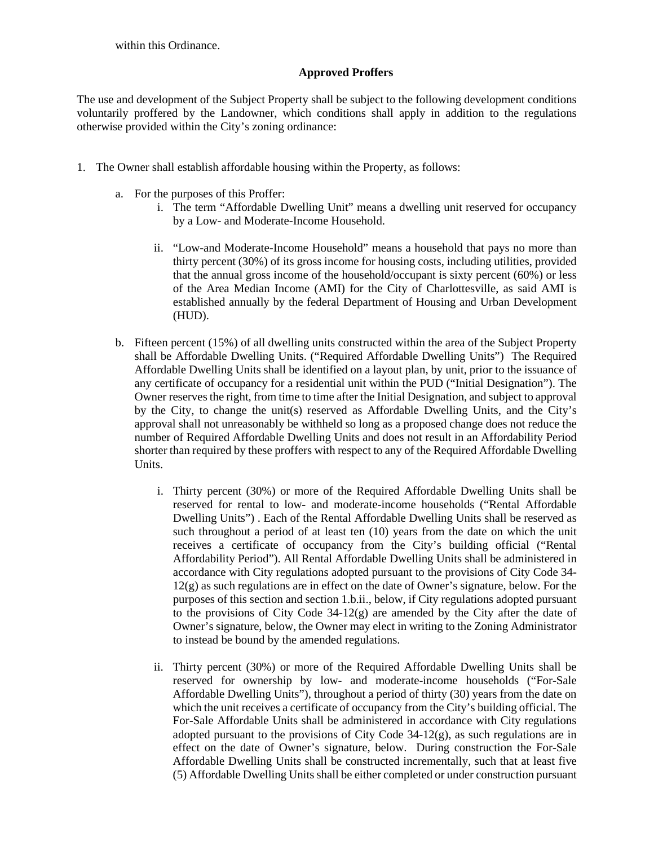within this Ordinance.

#### **Approved Proffers**

The use and development of the Subject Property shall be subject to the following development conditions voluntarily proffered by the Landowner, which conditions shall apply in addition to the regulations otherwise provided within the City's zoning ordinance:

- 1. The Owner shall establish affordable housing within the Property, as follows:
	- a. For the purposes of this Proffer:
		- i. The term "Affordable Dwelling Unit" means a dwelling unit reserved for occupancy by a Low- and Moderate-Income Household.
		- ii. "Low-and Moderate-Income Household" means a household that pays no more than thirty percent (30%) of its gross income for housing costs, including utilities, provided that the annual gross income of the household/occupant is sixty percent (60%) or less of the Area Median Income (AMI) for the City of Charlottesville, as said AMI is established annually by the federal Department of Housing and Urban Development (HUD).
	- b. Fifteen percent (15%) of all dwelling units constructed within the area of the Subject Property shall be Affordable Dwelling Units. ("Required Affordable Dwelling Units") The Required Affordable Dwelling Units shall be identified on a layout plan, by unit, prior to the issuance of any certificate of occupancy for a residential unit within the PUD ("Initial Designation"). The Owner reserves the right, from time to time after the Initial Designation, and subject to approval by the City, to change the unit(s) reserved as Affordable Dwelling Units, and the City's approval shall not unreasonably be withheld so long as a proposed change does not reduce the number of Required Affordable Dwelling Units and does not result in an Affordability Period shorter than required by these proffers with respect to any of the Required Affordable Dwelling Units.
		- i. Thirty percent (30%) or more of the Required Affordable Dwelling Units shall be reserved for rental to low- and moderate-income households ("Rental Affordable Dwelling Units") . Each of the Rental Affordable Dwelling Units shall be reserved as such throughout a period of at least ten (10) years from the date on which the unit receives a certificate of occupancy from the City's building official ("Rental Affordability Period"). All Rental Affordable Dwelling Units shall be administered in accordance with City regulations adopted pursuant to the provisions of City Code 34-  $12(g)$  as such regulations are in effect on the date of Owner's signature, below. For the purposes of this section and section 1.b.ii., below, if City regulations adopted pursuant to the provisions of City Code  $34-12(g)$  are amended by the City after the date of Owner's signature, below, the Owner may elect in writing to the Zoning Administrator to instead be bound by the amended regulations.
		- ii. Thirty percent (30%) or more of the Required Affordable Dwelling Units shall be reserved for ownership by low- and moderate-income households ("For-Sale Affordable Dwelling Units"), throughout a period of thirty (30) years from the date on which the unit receives a certificate of occupancy from the City's building official. The For-Sale Affordable Units shall be administered in accordance with City regulations adopted pursuant to the provisions of City Code  $34-12(g)$ , as such regulations are in effect on the date of Owner's signature, below. During construction the For-Sale Affordable Dwelling Units shall be constructed incrementally, such that at least five (5) Affordable Dwelling Units shall be either completed or under construction pursuant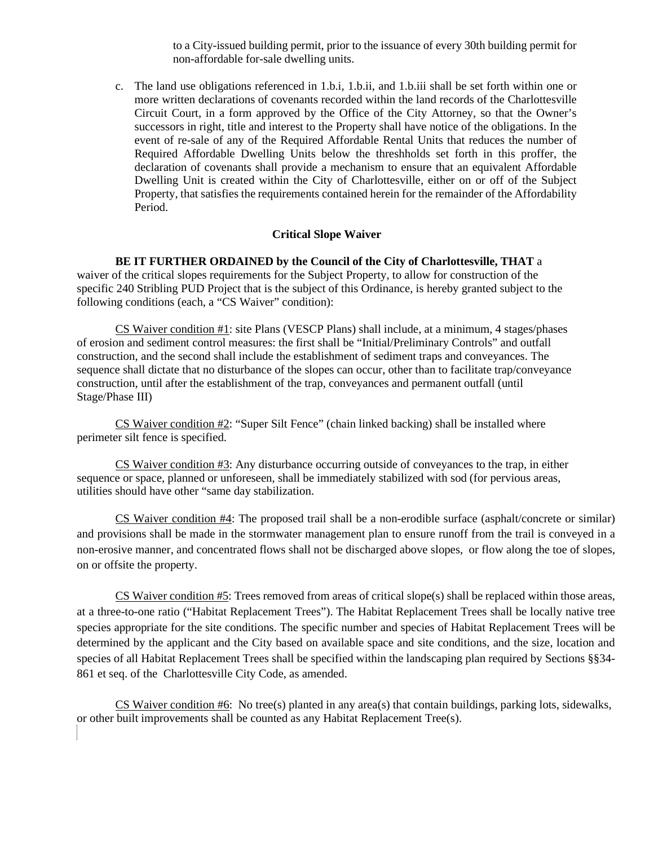to a City-issued building permit, prior to the issuance of every 30th building permit for non-affordable for-sale dwelling units.

c. The land use obligations referenced in 1.b.i, 1.b.ii, and 1.b.iii shall be set forth within one or more written declarations of covenants recorded within the land records of the Charlottesville Circuit Court, in a form approved by the Office of the City Attorney, so that the Owner's successors in right, title and interest to the Property shall have notice of the obligations. In the event of re-sale of any of the Required Affordable Rental Units that reduces the number of Required Affordable Dwelling Units below the threshholds set forth in this proffer, the declaration of covenants shall provide a mechanism to ensure that an equivalent Affordable Dwelling Unit is created within the City of Charlottesville, either on or off of the Subject Property, that satisfies the requirements contained herein for the remainder of the Affordability Period.

#### **Critical Slope Waiver**

#### **BE IT FURTHER ORDAINED by the Council of the City of Charlottesville, THAT** a

waiver of the critical slopes requirements for the Subject Property, to allow for construction of the specific 240 Stribling PUD Project that is the subject of this Ordinance, is hereby granted subject to the following conditions (each, a "CS Waiver" condition):

CS Waiver condition #1: site Plans (VESCP Plans) shall include, at a minimum, 4 stages/phases of erosion and sediment control measures: the first shall be "Initial/Preliminary Controls" and outfall construction, and the second shall include the establishment of sediment traps and conveyances. The sequence shall dictate that no disturbance of the slopes can occur, other than to facilitate trap/conveyance construction, until after the establishment of the trap, conveyances and permanent outfall (until Stage/Phase III)

CS Waiver condition #2: "Super Silt Fence" (chain linked backing) shall be installed where perimeter silt fence is specified.

CS Waiver condition #3: Any disturbance occurring outside of conveyances to the trap, in either sequence or space, planned or unforeseen, shall be immediately stabilized with sod (for pervious areas, utilities should have other "same day stabilization.

CS Waiver condition #4: The proposed trail shall be a non-erodible surface (asphalt/concrete or similar) and provisions shall be made in the stormwater management plan to ensure runoff from the trail is conveyed in a non-erosive manner, and concentrated flows shall not be discharged above slopes, or flow along the toe of slopes, on or offsite the property.

CS Waiver condition #5: Trees removed from areas of critical slope(s) shall be replaced within those areas, at a three-to-one ratio ("Habitat Replacement Trees"). The Habitat Replacement Trees shall be locally native tree species appropriate for the site conditions. The specific number and species of Habitat Replacement Trees will be determined by the applicant and the City based on available space and site conditions, and the size, location and species of all Habitat Replacement Trees shall be specified within the landscaping plan required by Sections §§34-861 et seq. of the Charlottesville City Code, as amended.

CS Waiver condition #6: No tree(s) planted in any area(s) that contain buildings, parking lots, sidewalks, or other built improvements shall be counted as any Habitat Replacement Tree(s).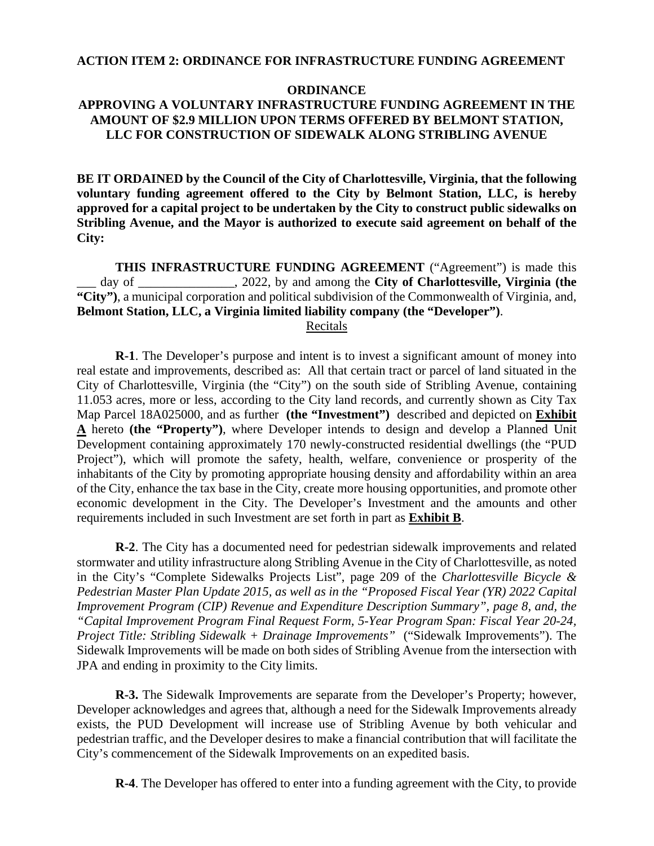#### **ACTION ITEM 2: ORDINANCE FOR INFRASTRUCTURE FUNDING AGREEMENT**

#### **ORDINANCE**

#### **APPROVING A VOLUNTARY INFRASTRUCTURE FUNDING AGREEMENT IN THE AMOUNT OF \$2.9 MILLION UPON TERMS OFFERED BY BELMONT STATION, LLC FOR CONSTRUCTION OF SIDEWALK ALONG STRIBLING AVENUE**

**BE IT ORDAINED by the Council of the City of Charlottesville, Virginia, that the following voluntary funding agreement offered to the City by Belmont Station, LLC, is hereby approved for a capital project to be undertaken by the City to construct public sidewalks on Stribling Avenue, and the Mayor is authorized to execute said agreement on behalf of the City:** 

**THIS INFRASTRUCTURE FUNDING AGREEMENT** ("Agreement") is made this \_\_\_ day of \_\_\_\_\_\_\_\_\_\_\_\_\_\_\_, 2022, by and among the **City of Charlottesville, Virginia (the "City")**, a municipal corporation and political subdivision of the Commonwealth of Virginia, and, **Belmont Station, LLC, a Virginia limited liability company (the "Developer")**. Recitals

**R-1**. The Developer's purpose and intent is to invest a significant amount of money into real estate and improvements, described as: All that certain tract or parcel of land situated in the City of Charlottesville, Virginia (the "City") on the south side of Stribling Avenue, containing 11.053 acres, more or less, according to the City land records, and currently shown as City Tax Map Parcel 18A025000, and as further **(the "Investment")** described and depicted on **Exhibit A** hereto **(the "Property")**, where Developer intends to design and develop a Planned Unit Development containing approximately 170 newly-constructed residential dwellings (the "PUD Project"), which will promote the safety, health, welfare, convenience or prosperity of the inhabitants of the City by promoting appropriate housing density and affordability within an area of the City, enhance the tax base in the City, create more housing opportunities, and promote other economic development in the City. The Developer's Investment and the amounts and other requirements included in such Investment are set forth in part as **Exhibit B**.

**R-2**. The City has a documented need for pedestrian sidewalk improvements and related stormwater and utility infrastructure along Stribling Avenue in the City of Charlottesville, as noted in the City's "Complete Sidewalks Projects List", page 209 of the *Charlottesville Bicycle & Pedestrian Master Plan Update 2015, as well as in the "Proposed Fiscal Year (YR) 2022 Capital Improvement Program (CIP) Revenue and Expenditure Description Summary", page 8, and, the "Capital Improvement Program Final Request Form, 5-Year Program Span: Fiscal Year 20-24, Project Title: Stribling Sidewalk + Drainage Improvements"* ("Sidewalk Improvements"). The Sidewalk Improvements will be made on both sides of Stribling Avenue from the intersection with JPA and ending in proximity to the City limits.

**R-3.** The Sidewalk Improvements are separate from the Developer's Property; however, Developer acknowledges and agrees that, although a need for the Sidewalk Improvements already exists, the PUD Development will increase use of Stribling Avenue by both vehicular and pedestrian traffic, and the Developer desires to make a financial contribution that will facilitate the City's commencement of the Sidewalk Improvements on an expedited basis.

**R-4**. The Developer has offered to enter into a funding agreement with the City, to provide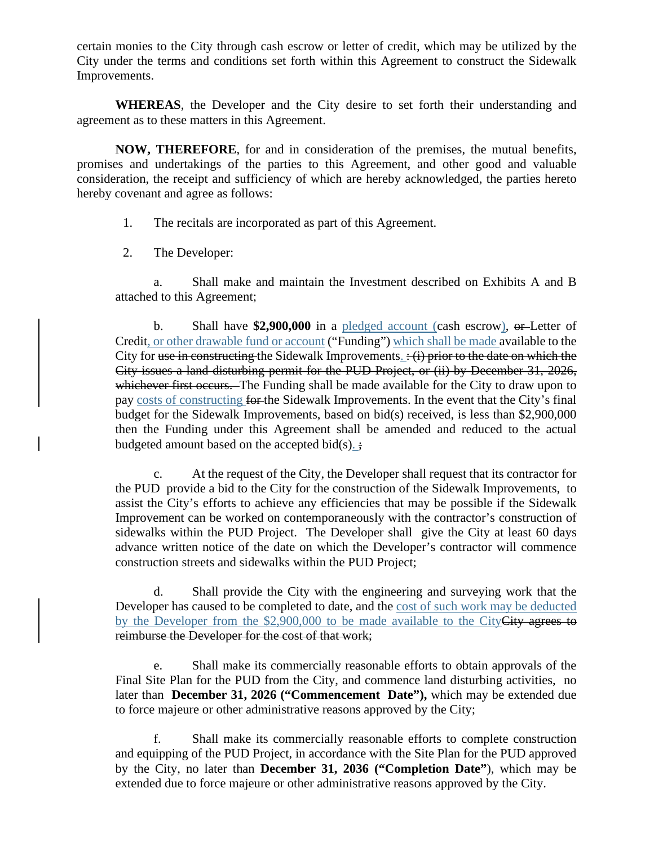certain monies to the City through cash escrow or letter of credit, which may be utilized by the City under the terms and conditions set forth within this Agreement to construct the Sidewalk Improvements.

**WHEREAS**, the Developer and the City desire to set forth their understanding and agreement as to these matters in this Agreement.

**NOW, THEREFORE**, for and in consideration of the premises, the mutual benefits, promises and undertakings of the parties to this Agreement, and other good and valuable consideration, the receipt and sufficiency of which are hereby acknowledged, the parties hereto hereby covenant and agree as follows:

1. The recitals are incorporated as part of this Agreement.

2. The Developer:

a. Shall make and maintain the Investment described on Exhibits A and B attached to this Agreement;

b. Shall have **\$2,900,000** in a pledged account (cash escrow), or Letter of Credit, or other drawable fund or account ("Funding") which shall be made available to the City for use in constructing the Sidewalk Improvements.  $\div$  (i) prior to the date on which the City issues a land disturbing permit for the PUD Project, or (ii) by December 31, 2026, whichever first occurs. The Funding shall be made available for the City to draw upon to pay costs of constructing for the Sidewalk Improvements. In the event that the City's final budget for the Sidewalk Improvements, based on bid(s) received, is less than \$2,900,000 then the Funding under this Agreement shall be amended and reduced to the actual budgeted amount based on the accepted bid $(s)$ .

c. At the request of the City, the Developer shall request that its contractor for the PUD provide a bid to the City for the construction of the Sidewalk Improvements, to assist the City's efforts to achieve any efficiencies that may be possible if the Sidewalk Improvement can be worked on contemporaneously with the contractor's construction of sidewalks within the PUD Project. The Developer shall give the City at least 60 days advance written notice of the date on which the Developer's contractor will commence construction streets and sidewalks within the PUD Project;

d. Shall provide the City with the engineering and surveying work that the Developer has caused to be completed to date, and the cost of such work may be deducted by the Developer from the \$2,900,000 to be made available to the CityCity agrees to reimburse the Developer for the cost of that work;

e. Shall make its commercially reasonable efforts to obtain approvals of the Final Site Plan for the PUD from the City, and commence land disturbing activities, no later than **December 31, 2026 ("Commencement Date"),** which may be extended due to force majeure or other administrative reasons approved by the City;

f. Shall make its commercially reasonable efforts to complete construction and equipping of the PUD Project, in accordance with the Site Plan for the PUD approved by the City, no later than **December 31, 2036 ("Completion Date"**), which may be extended due to force majeure or other administrative reasons approved by the City.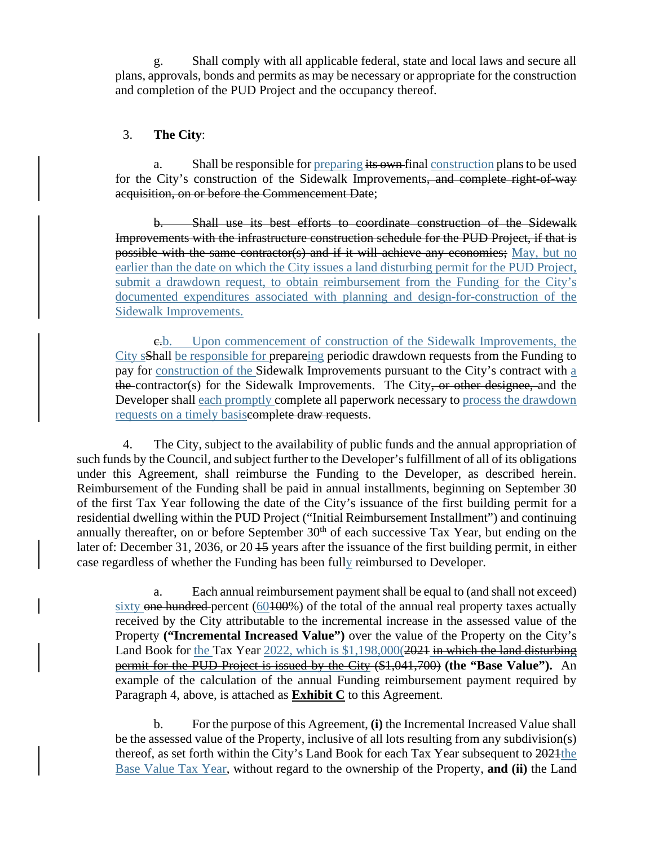g. Shall comply with all applicable federal, state and local laws and secure all plans, approvals, bonds and permits as may be necessary or appropriate for the construction and completion of the PUD Project and the occupancy thereof.

#### 3. **The City**:

a. Shall be responsible for preparing its own final construction plans to be used for the City's construction of the Sidewalk Improvements, and complete right-of-way acquisition, on or before the Commencement Date;

b. Shall use its best efforts to coordinate construction of the Sidewalk Improvements with the infrastructure construction schedule for the PUD Project, if that is possible with the same contractor(s) and if it will achieve any economies; May, but no earlier than the date on which the City issues a land disturbing permit for the PUD Project, submit a drawdown request, to obtain reimbursement from the Funding for the City's documented expenditures associated with planning and design-for-construction of the Sidewalk Improvements.

c.b. Upon commencement of construction of the Sidewalk Improvements, the City sShall be responsible for prepareing periodic drawdown requests from the Funding to pay for construction of the Sidewalk Improvements pursuant to the City's contract with a the contractor(s) for the Sidewalk Improvements. The City, or other designee, and the Developer shall each promptly complete all paperwork necessary to process the drawdown requests on a timely basiscomplete draw requests.

4. The City, subject to the availability of public funds and the annual appropriation of such funds by the Council, and subject further to the Developer's fulfillment of all of its obligations under this Agreement, shall reimburse the Funding to the Developer, as described herein. Reimbursement of the Funding shall be paid in annual installments, beginning on September 30 of the first Tax Year following the date of the City's issuance of the first building permit for a residential dwelling within the PUD Project ("Initial Reimbursement Installment") and continuing annually thereafter, on or before September  $30<sup>th</sup>$  of each successive Tax Year, but ending on the later of: December 31, 2036, or 20 45 years after the issuance of the first building permit, in either case regardless of whether the Funding has been fully reimbursed to Developer.

a. Each annual reimbursement payment shall be equal to (and shall not exceed) sixty one hundred-percent (60100%) of the total of the annual real property taxes actually received by the City attributable to the incremental increase in the assessed value of the Property **("Incremental Increased Value")** over the value of the Property on the City's Land Book for the Tax Year 2022, which is \$1,198,000(2021 in which the land disturbing permit for the PUD Project is issued by the City (\$1,041,700) **(the "Base Value").** An example of the calculation of the annual Funding reimbursement payment required by Paragraph 4, above, is attached as **Exhibit C** to this Agreement.

b. For the purpose of this Agreement, **(i)** the Incremental Increased Value shall be the assessed value of the Property, inclusive of all lots resulting from any subdivision(s) thereof, as set forth within the City's Land Book for each Tax Year subsequent to 2021 the Base Value Tax Year, without regard to the ownership of the Property, **and (ii)** the Land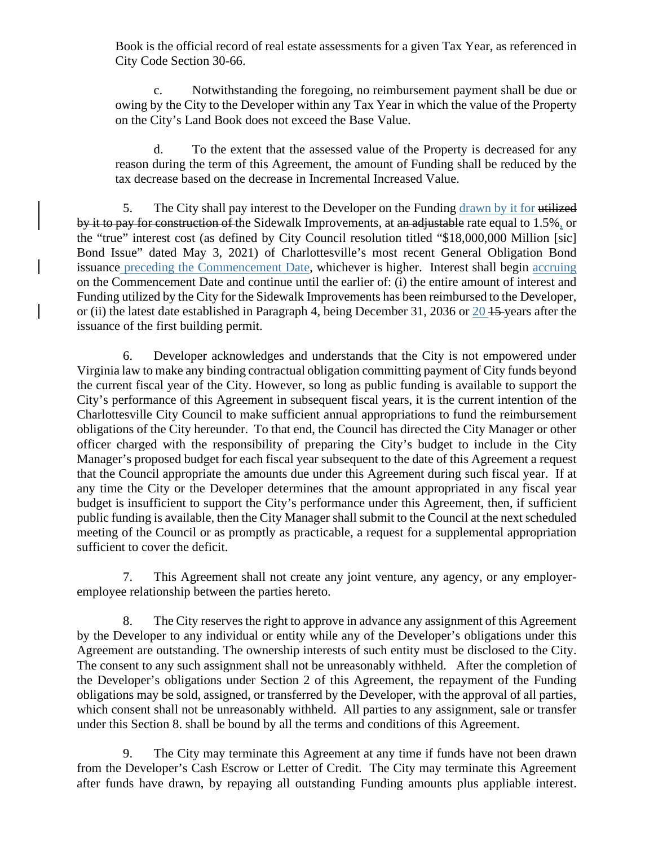Book is the official record of real estate assessments for a given Tax Year, as referenced in City Code Section 30-66.

c. Notwithstanding the foregoing, no reimbursement payment shall be due or owing by the City to the Developer within any Tax Year in which the value of the Property on the City's Land Book does not exceed the Base Value.

d. To the extent that the assessed value of the Property is decreased for any reason during the term of this Agreement, the amount of Funding shall be reduced by the tax decrease based on the decrease in Incremental Increased Value.

5. The City shall pay interest to the Developer on the Funding drawn by it for utilized by it to pay for construction of the Sidewalk Improvements, at an adjustable rate equal to 1.5%, or the "true" interest cost (as defined by City Council resolution titled "\$18,000,000 Million [sic] Bond Issue" dated May 3, 2021) of Charlottesville's most recent General Obligation Bond issuance preceding the Commencement Date, whichever is higher. Interest shall begin accruing on the Commencement Date and continue until the earlier of: (i) the entire amount of interest and Funding utilized by the City for the Sidewalk Improvements has been reimbursed to the Developer, or (ii) the latest date established in Paragraph 4, being December 31, 2036 or 20 15 years after the issuance of the first building permit.

6. Developer acknowledges and understands that the City is not empowered under Virginia law to make any binding contractual obligation committing payment of City funds beyond the current fiscal year of the City. However, so long as public funding is available to support the City's performance of this Agreement in subsequent fiscal years, it is the current intention of the Charlottesville City Council to make sufficient annual appropriations to fund the reimbursement obligations of the City hereunder. To that end, the Council has directed the City Manager or other officer charged with the responsibility of preparing the City's budget to include in the City Manager's proposed budget for each fiscal year subsequent to the date of this Agreement a request that the Council appropriate the amounts due under this Agreement during such fiscal year. If at any time the City or the Developer determines that the amount appropriated in any fiscal year budget is insufficient to support the City's performance under this Agreement, then, if sufficient public funding is available, then the City Manager shall submit to the Council at the next scheduled meeting of the Council or as promptly as practicable, a request for a supplemental appropriation sufficient to cover the deficit.

7. This Agreement shall not create any joint venture, any agency, or any employeremployee relationship between the parties hereto.

8. The City reserves the right to approve in advance any assignment of this Agreement by the Developer to any individual or entity while any of the Developer's obligations under this Agreement are outstanding. The ownership interests of such entity must be disclosed to the City. The consent to any such assignment shall not be unreasonably withheld. After the completion of the Developer's obligations under Section 2 of this Agreement, the repayment of the Funding obligations may be sold, assigned, or transferred by the Developer, with the approval of all parties, which consent shall not be unreasonably withheld. All parties to any assignment, sale or transfer under this Section 8. shall be bound by all the terms and conditions of this Agreement.

9. The City may terminate this Agreement at any time if funds have not been drawn from the Developer's Cash Escrow or Letter of Credit. The City may terminate this Agreement after funds have drawn, by repaying all outstanding Funding amounts plus appliable interest.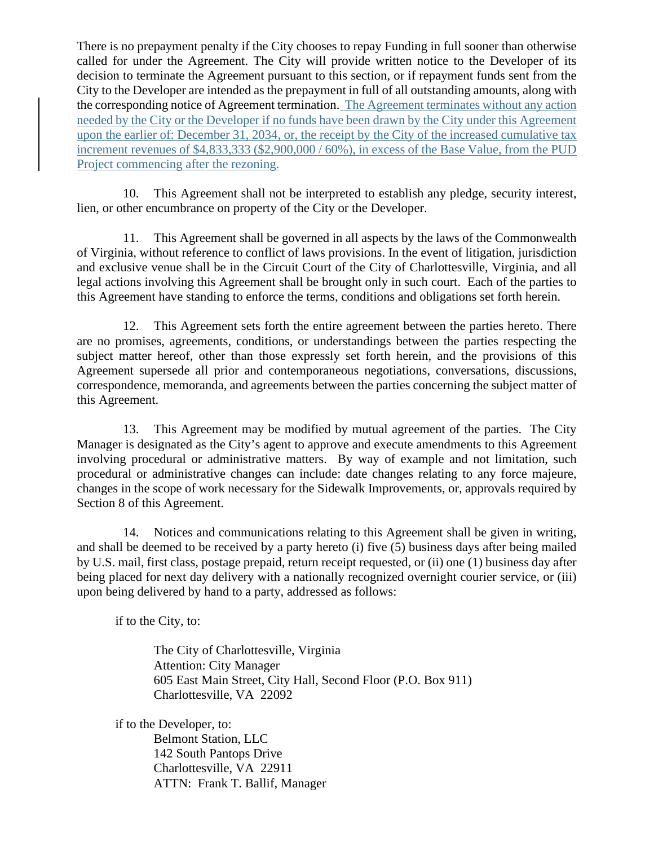There is no prepayment penalty if the City chooses to repay Funding in full sooner than otherwise called for under the Agreement. The City will provide written notice to the Developer of its decision to terminate the Agreement pursuant to this section, or if repayment funds sent from the City to the Developer are intended as the prepayment in full of all outstanding amounts, along with the corresponding notice of Agreement termination. The Agreement terminates without any action needed by the City or the Developer if no funds have been drawn by the City under this Agreement upon the earlier of: December 31, 2034, or, the receipt by the City of the increased cumulative tax increment revenues of \$4,833,333 (\$2,900,000 / 60%), in excess of the Base Value, from the PUD Project commencing after the rezoning.

10. This Agreement shall not be interpreted to establish any pledge, security interest, lien, or other encumbrance on property of the City or the Developer.

11. This Agreement shall be governed in all aspects by the laws of the Commonwealth of Virginia, without reference to conflict of laws provisions. In the event of litigation, jurisdiction and exclusive venue shall be in the Circuit Court of the City of Charlottesville, Virginia, and all legal actions involving this Agreement shall be brought only in such court. Each of the parties to this Agreement have standing to enforce the terms, conditions and obligations set forth herein.

12. This Agreement sets forth the entire agreement between the parties hereto. There are no promises, agreements, conditions, or understandings between the parties respecting the subject matter hereof, other than those expressly set forth herein, and the provisions of this Agreement supersede all prior and contemporaneous negotiations, conversations, discussions, correspondence, memoranda, and agreements between the parties concerning the subject matter of this Agreement.

13. This Agreement may be modified by mutual agreement of the parties. The City Manager is designated as the City's agent to approve and execute amendments to this Agreement involving procedural or administrative matters. By way of example and not limitation, such procedural or administrative changes can include: date changes relating to any force majeure, changes in the scope of work necessary for the Sidewalk Improvements, or, approvals required by Section 8 of this Agreement.

14. Notices and communications relating to this Agreement shall be given in writing, and shall be deemed to be received by a party hereto (i) five (5) business days after being mailed by U.S. mail, first class, postage prepaid, return receipt requested, or (ii) one (1) business day after being placed for next day delivery with a nationally recognized overnight courier service, or (iii) upon being delivered by hand to a party, addressed as follows:

if to the City, to:

The City of Charlottesville, Virginia Attention: City Manager 605 East Main Street, City Hall, Second Floor (P.O. Box 911) Charlottesville, VA 22092

if to the Developer, to: Belmont Station, LLC 142 South Pantops Drive Charlottesville, VA 22911 ATTN: Frank T. Ballif, Manager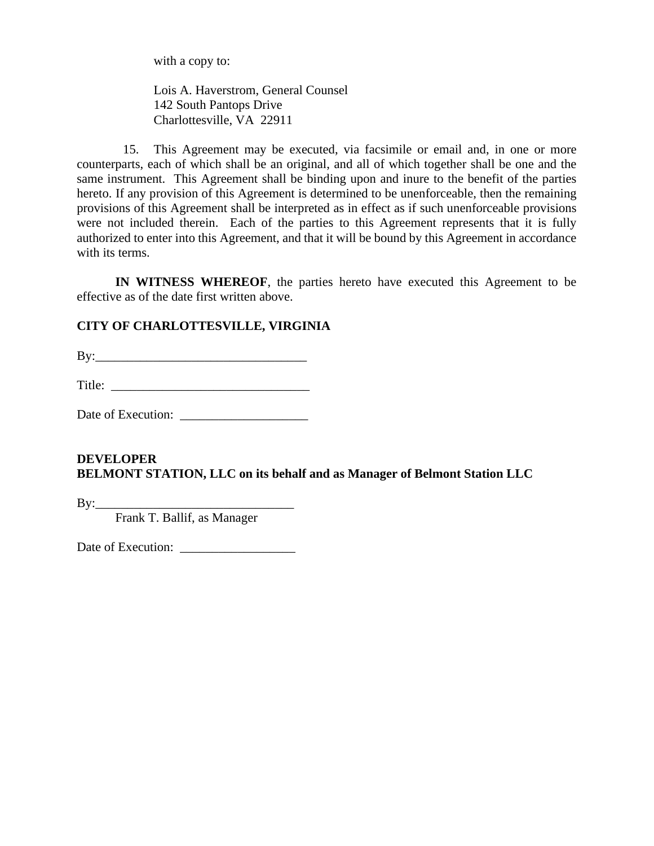with a copy to:

Lois A. Haverstrom, General Counsel 142 South Pantops Drive Charlottesville, VA 22911

15. This Agreement may be executed, via facsimile or email and, in one or more counterparts, each of which shall be an original, and all of which together shall be one and the same instrument. This Agreement shall be binding upon and inure to the benefit of the parties hereto. If any provision of this Agreement is determined to be unenforceable, then the remaining provisions of this Agreement shall be interpreted as in effect as if such unenforceable provisions were not included therein. Each of the parties to this Agreement represents that it is fully authorized to enter into this Agreement, and that it will be bound by this Agreement in accordance with its terms.

**IN WITNESS WHEREOF**, the parties hereto have executed this Agreement to be effective as of the date first written above.

## **CITY OF CHARLOTTESVILLE, VIRGINIA**

 $\mathbf{B} \mathbf{y}$ :

Title: \_\_\_\_\_\_\_\_\_\_\_\_\_\_\_\_\_\_\_\_\_\_\_\_\_\_\_\_\_\_\_

Date of Execution: \_\_\_\_\_\_\_\_\_\_\_\_\_\_\_\_\_\_\_\_

## **DEVELOPER BELMONT STATION, LLC on its behalf and as Manager of Belmont Station LLC**

 $By:$ 

Frank T. Ballif, as Manager

Date of Execution: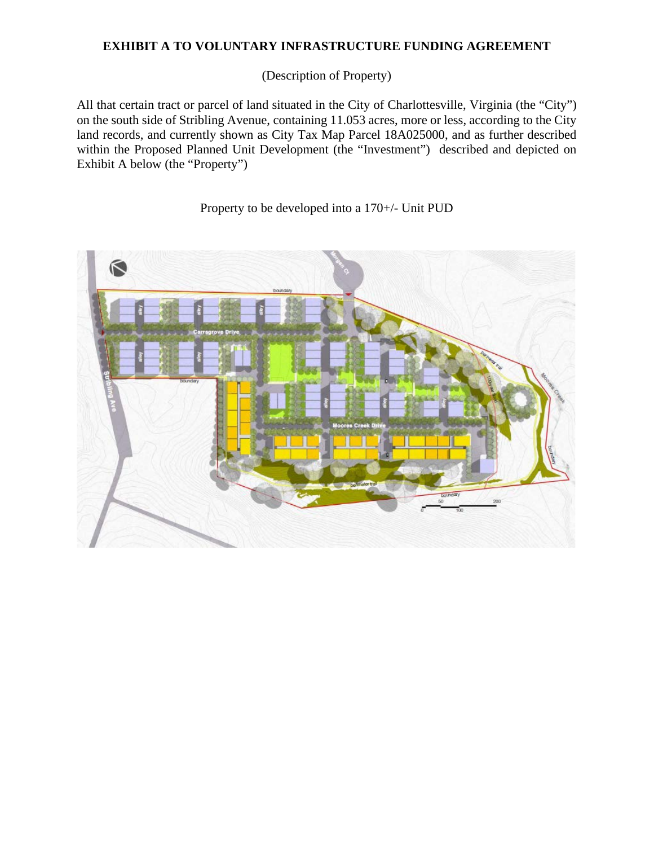## **EXHIBIT A TO VOLUNTARY INFRASTRUCTURE FUNDING AGREEMENT**

(Description of Property)

All that certain tract or parcel of land situated in the City of Charlottesville, Virginia (the "City") on the south side of Stribling Avenue, containing 11.053 acres, more or less, according to the City land records, and currently shown as City Tax Map Parcel 18A025000, and as further described within the Proposed Planned Unit Development (the "Investment") described and depicted on Exhibit A below (the "Property")

æ

Property to be developed into a 170+/- Unit PUD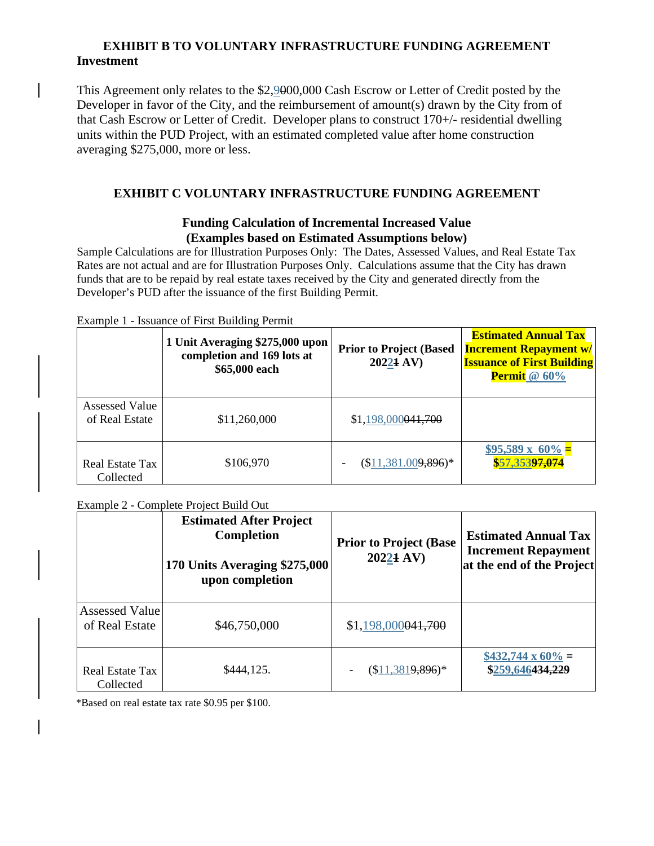### **EXHIBIT B TO VOLUNTARY INFRASTRUCTURE FUNDING AGREEMENT Investment**

This Agreement only relates to the \$2,9000,000 Cash Escrow or Letter of Credit posted by the Developer in favor of the City, and the reimbursement of amount(s) drawn by the City from of that Cash Escrow or Letter of Credit. Developer plans to construct 170+/- residential dwelling units within the PUD Project, with an estimated completed value after home construction averaging \$275,000, more or less.

### **EXHIBIT C VOLUNTARY INFRASTRUCTURE FUNDING AGREEMENT**

#### **Funding Calculation of Incremental Increased Value (Examples based on Estimated Assumptions below)**

Sample Calculations are for Illustration Purposes Only: The Dates, Assessed Values, and Real Estate Tax Rates are not actual and are for Illustration Purposes Only. Calculations assume that the City has drawn funds that are to be repaid by real estate taxes received by the City and generated directly from the Developer's PUD after the issuance of the first Building Permit.

Example 1 - Issuance of First Building Permit

|                                         | 1 Unit Averaging \$275,000 upon<br>completion and 169 lots at<br>\$65,000 each | <b>Prior to Project (Based)</b><br>20221 AV) | <b>Estimated Annual Tax</b><br><b>Increment Repayment w/</b><br><b>Issuance of First Building</b><br><b>Permit</b> @ 60% |
|-----------------------------------------|--------------------------------------------------------------------------------|----------------------------------------------|--------------------------------------------------------------------------------------------------------------------------|
| <b>Assessed Value</b><br>of Real Estate | \$11,260,000                                                                   | \$1,198,000041,700                           |                                                                                                                          |
| Real Estate Tax<br>Collected            | \$106,970                                                                      | $($11,381.009,896)*$                         | $$95,589 \times 60\%$ =<br>\$57,35397,074                                                                                |

#### Example 2 - Complete Project Build Out

|                                         | <b>Estimated After Project</b><br>Completion<br>170 Units Averaging \$275,000<br>upon completion | <b>Prior to Project (Base</b><br>20221 AV) | <b>Estimated Annual Tax</b><br><b>Increment Repayment</b><br>at the end of the Project |
|-----------------------------------------|--------------------------------------------------------------------------------------------------|--------------------------------------------|----------------------------------------------------------------------------------------|
| <b>Assessed Value</b><br>of Real Estate | \$46,750,000                                                                                     | \$1,198,000041,700                         |                                                                                        |
| Real Estate Tax<br>Collected            | \$444,125.                                                                                       | $($11,3819,896)*$                          | $$432,744 \times 60\% =$<br>\$259,646434,229                                           |

\*Based on real estate tax rate \$0.95 per \$100.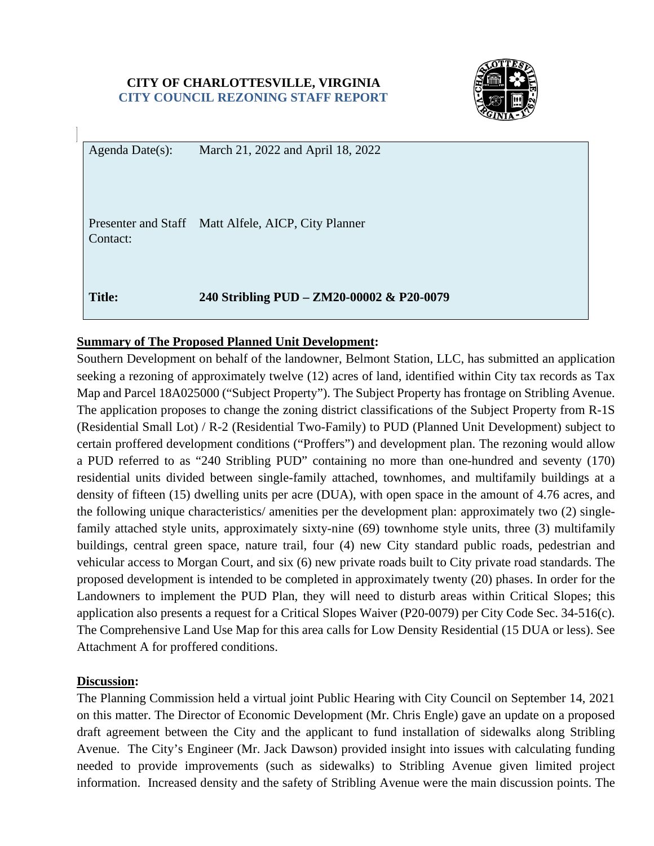### **CITY OF CHARLOTTESVILLE, VIRGINIA CITY COUNCIL REZONING STAFF REPORT**



Agenda Date(s): March 21, 2022 and April 18, 2022

Presenter and Staff Matt Alfele, AICP, City Planner Contact:

**Title: 240 Stribling PUD – ZM20-00002 & P20-0079** 

## **Summary of The Proposed Planned Unit Development:**

Southern Development on behalf of the landowner, Belmont Station, LLC, has submitted an application seeking a rezoning of approximately twelve (12) acres of land, identified within City tax records as Tax Map and Parcel 18A025000 ("Subject Property"). The Subject Property has frontage on Stribling Avenue. The application proposes to change the zoning district classifications of the Subject Property from R-1S (Residential Small Lot) / R-2 (Residential Two-Family) to PUD (Planned Unit Development) subject to certain proffered development conditions ("Proffers") and development plan. The rezoning would allow a PUD referred to as "240 Stribling PUD" containing no more than one-hundred and seventy (170) residential units divided between single-family attached, townhomes, and multifamily buildings at a density of fifteen (15) dwelling units per acre (DUA), with open space in the amount of 4.76 acres, and the following unique characteristics/ amenities per the development plan: approximately two (2) singlefamily attached style units, approximately sixty-nine (69) townhome style units, three (3) multifamily buildings, central green space, nature trail, four (4) new City standard public roads, pedestrian and vehicular access to Morgan Court, and six (6) new private roads built to City private road standards. The proposed development is intended to be completed in approximately twenty (20) phases. In order for the Landowners to implement the PUD Plan, they will need to disturb areas within Critical Slopes; this application also presents a request for a Critical Slopes Waiver (P20-0079) per City Code Sec. 34-516(c). The Comprehensive Land Use Map for this area calls for Low Density Residential (15 DUA or less). See Attachment A for proffered conditions.

## **Discussion:**

The Planning Commission held a virtual joint Public Hearing with City Council on September 14, 2021 on this matter. The Director of Economic Development (Mr. Chris Engle) gave an update on a proposed draft agreement between the City and the applicant to fund installation of sidewalks along Stribling Avenue. The City's Engineer (Mr. Jack Dawson) provided insight into issues with calculating funding needed to provide improvements (such as sidewalks) to Stribling Avenue given limited project information. Increased density and the safety of Stribling Avenue were the main discussion points. The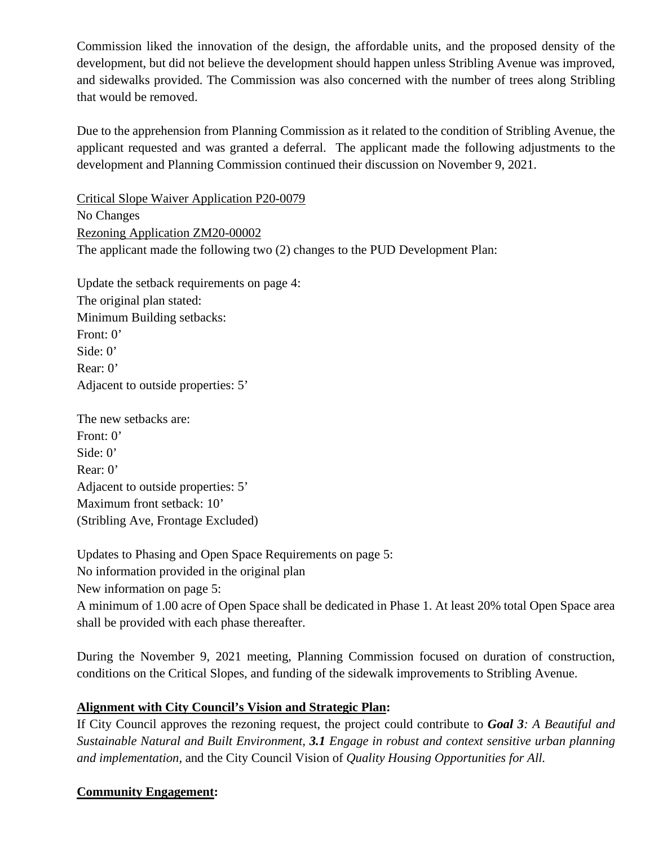Commission liked the innovation of the design, the affordable units, and the proposed density of the development, but did not believe the development should happen unless Stribling Avenue was improved, and sidewalks provided. The Commission was also concerned with the number of trees along Stribling that would be removed.

Due to the apprehension from Planning Commission as it related to the condition of Stribling Avenue, the applicant requested and was granted a deferral. The applicant made the following adjustments to the development and Planning Commission continued their discussion on November 9, 2021.

Critical Slope Waiver Application P20-0079 No Changes Rezoning Application ZM20-00002 The applicant made the following two (2) changes to the PUD Development Plan:

Update the setback requirements on page 4: The original plan stated: Minimum Building setbacks: Front: 0' Side: 0' Rear: 0' Adjacent to outside properties: 5'

The new setbacks are: Front: 0' Side: 0' Rear: 0' Adjacent to outside properties: 5' Maximum front setback: 10' (Stribling Ave, Frontage Excluded)

Updates to Phasing and Open Space Requirements on page 5: No information provided in the original plan New information on page 5: A minimum of 1.00 acre of Open Space shall be dedicated in Phase 1. At least 20% total Open Space area shall be provided with each phase thereafter.

During the November 9, 2021 meeting, Planning Commission focused on duration of construction, conditions on the Critical Slopes, and funding of the sidewalk improvements to Stribling Avenue.

## **Alignment with City Council's Vision and Strategic Plan:**

If City Council approves the rezoning request, the project could contribute to *Goal 3: A Beautiful and Sustainable Natural and Built Environment, 3.1 Engage in robust and context sensitive urban planning and implementation,* and the City Council Vision of *Quality Housing Opportunities for All.* 

## **Community Engagement:**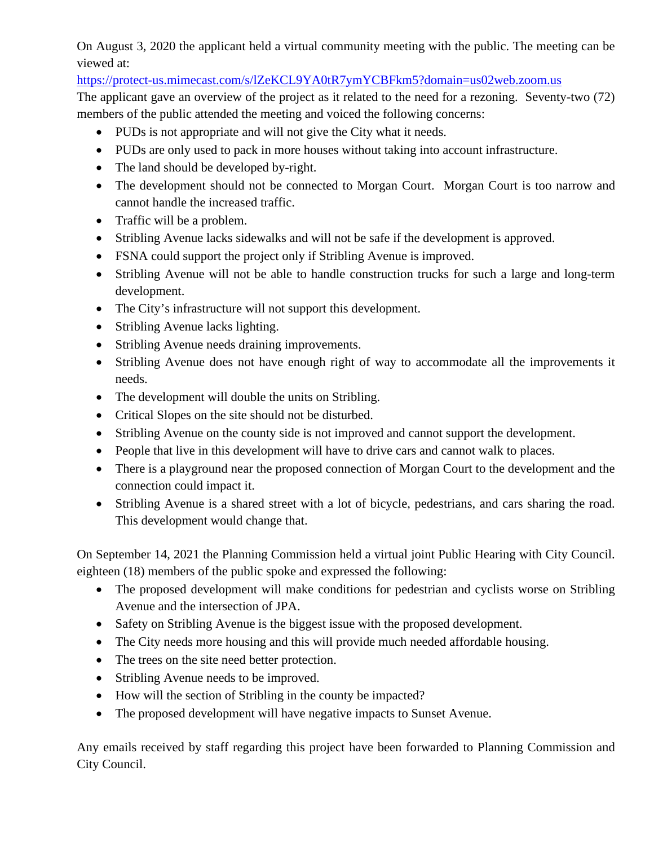On August 3, 2020 the applicant held a virtual community meeting with the public. The meeting can be viewed at:

<https://protect-us.mimecast.com/s/lZeKCL9YA0tR7ymYCBFkm5?domain=us02web.zoom.us>

The applicant gave an overview of the project as it related to the need for a rezoning. Seventy-two (72) members of the public attended the meeting and voiced the following concerns:

- PUDs is not appropriate and will not give the City what it needs.
- PUDs are only used to pack in more houses without taking into account infrastructure.
- The land should be developed by-right.
- The development should not be connected to Morgan Court. Morgan Court is too narrow and cannot handle the increased traffic.
- Traffic will be a problem.
- Stribling Avenue lacks sidewalks and will not be safe if the development is approved.
- FSNA could support the project only if Stribling Avenue is improved.
- Stribling Avenue will not be able to handle construction trucks for such a large and long-term development.
- The City's infrastructure will not support this development.
- Stribling Avenue lacks lighting.
- Stribling Avenue needs draining improvements.
- Stribling Avenue does not have enough right of way to accommodate all the improvements it needs.
- The development will double the units on Stribling.
- Critical Slopes on the site should not be disturbed.
- Stribling Avenue on the county side is not improved and cannot support the development.
- People that live in this development will have to drive cars and cannot walk to places.
- There is a playground near the proposed connection of Morgan Court to the development and the connection could impact it.
- Stribling Avenue is a shared street with a lot of bicycle, pedestrians, and cars sharing the road. This development would change that.

On September 14, 2021 the Planning Commission held a virtual joint Public Hearing with City Council. eighteen (18) members of the public spoke and expressed the following:

- The proposed development will make conditions for pedestrian and cyclists worse on Stribling Avenue and the intersection of JPA.
- Safety on Stribling Avenue is the biggest issue with the proposed development.
- The City needs more housing and this will provide much needed affordable housing.
- The trees on the site need better protection.
- Stribling Avenue needs to be improved.
- How will the section of Stribling in the county be impacted?
- The proposed development will have negative impacts to Sunset Avenue.

Any emails received by staff regarding this project have been forwarded to Planning Commission and City Council.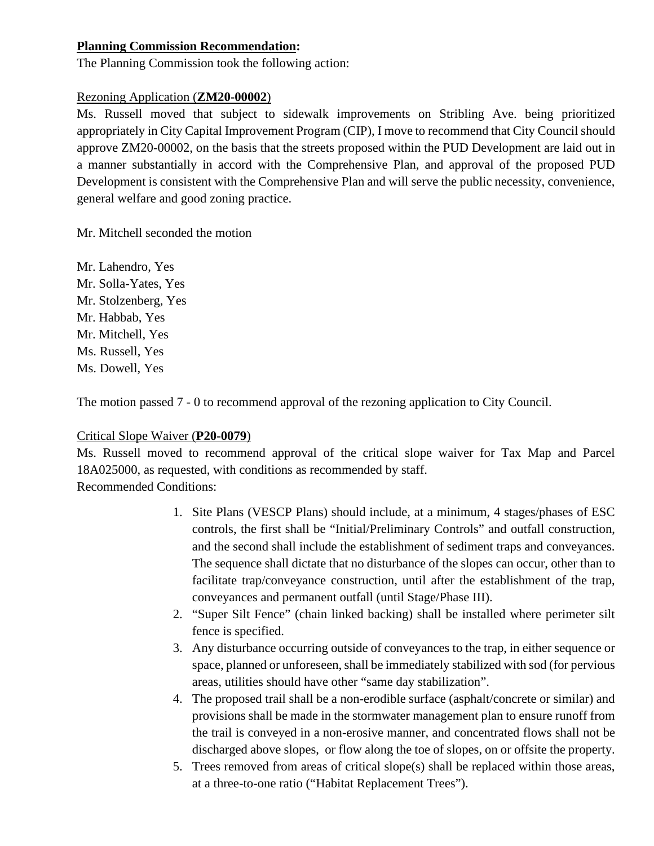## **Planning Commission Recommendation:**

The Planning Commission took the following action:

## Rezoning Application (**ZM20-00002**)

Ms. Russell moved that subject to sidewalk improvements on Stribling Ave. being prioritized appropriately in City Capital Improvement Program (CIP), I move to recommend that City Council should approve ZM20-00002, on the basis that the streets proposed within the PUD Development are laid out in a manner substantially in accord with the Comprehensive Plan, and approval of the proposed PUD Development is consistent with the Comprehensive Plan and will serve the public necessity, convenience, general welfare and good zoning practice.

Mr. Mitchell seconded the motion

Mr. Lahendro, Yes Mr. Solla-Yates, Yes Mr. Stolzenberg, Yes Mr. Habbab, Yes Mr. Mitchell, Yes Ms. Russell, Yes Ms. Dowell, Yes

The motion passed 7 - 0 to recommend approval of the rezoning application to City Council.

# Critical Slope Waiver (**P20-0079**)

Ms. Russell moved to recommend approval of the critical slope waiver for Tax Map and Parcel 18A025000, as requested, with conditions as recommended by staff. Recommended Conditions:

- 1. Site Plans (VESCP Plans) should include, at a minimum, 4 stages/phases of ESC controls, the first shall be "Initial/Preliminary Controls" and outfall construction, and the second shall include the establishment of sediment traps and conveyances. The sequence shall dictate that no disturbance of the slopes can occur, other than to facilitate trap/conveyance construction, until after the establishment of the trap, conveyances and permanent outfall (until Stage/Phase III).
- 2. "Super Silt Fence" (chain linked backing) shall be installed where perimeter silt fence is specified.
- 3. Any disturbance occurring outside of conveyances to the trap, in either sequence or space, planned or unforeseen, shall be immediately stabilized with sod (for pervious areas, utilities should have other "same day stabilization".
- 4. The proposed trail shall be a non-erodible surface (asphalt/concrete or similar) and provisions shall be made in the stormwater management plan to ensure runoff from the trail is conveyed in a non-erosive manner, and concentrated flows shall not be discharged above slopes, or flow along the toe of slopes, on or offsite the property.
- 5. Trees removed from areas of critical slope(s) shall be replaced within those areas, at a three-to-one ratio ("Habitat Replacement Trees").